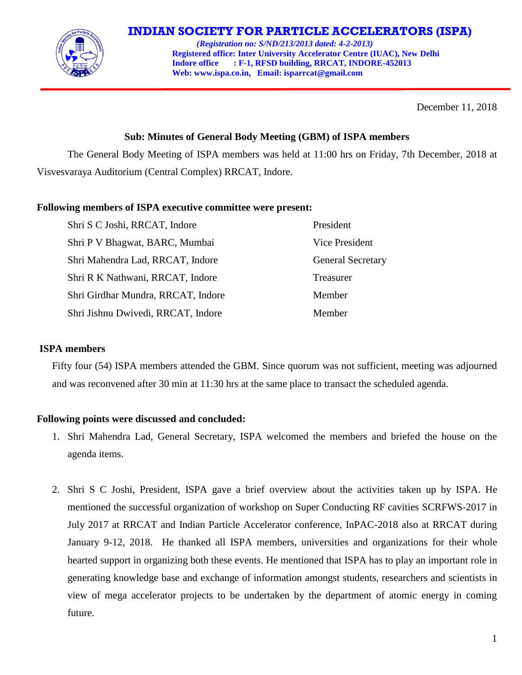

# **INDIAN SOCIETY FOR PARTICLE ACCELERATORS (ISPA)**

 *(Registration no: S/ND/213/2013 dated: 4-2-2013)*  **Registered office: Inter University Accelerator Centre (IUAC), New Delhi Indore office : F-1, RFSD building, RRCAT, INDORE-452013 Web[: www.ispa.co.in,](http://www.ispa.org.in/) Email: isparrcat@gmail.com**

December 11, 2018

## **Sub: Minutes of General Body Meeting (GBM) of ISPA members**

The General Body Meeting of ISPA members was held at 11:00 hrs on Friday, 7th December, 2018 at Visvesvaraya Auditorium (Central Complex) RRCAT, Indore.

### **Following members of ISPA executive committee were present:**

| Shri S C Joshi, RRCAT, Indore      | President                |
|------------------------------------|--------------------------|
| Shri P V Bhagwat, BARC, Mumbai     | <b>Vice President</b>    |
| Shri Mahendra Lad, RRCAT, Indore   | <b>General Secretary</b> |
| Shri R K Nathwani, RRCAT, Indore   | Treasurer                |
| Shri Girdhar Mundra, RRCAT, Indore | Member                   |
| Shri Jishnu Dwivedi, RRCAT, Indore | Member                   |

### **ISPA members**

Fifty four (54) ISPA members attended the GBM. Since quorum was not sufficient, meeting was adjourned and was reconvened after 30 min at 11:30 hrs at the same place to transact the scheduled agenda.

### **Following points were discussed and concluded:**

- 1. Shri Mahendra Lad, General Secretary, ISPA welcomed the members and briefed the house on the agenda items.
- 2. Shri S C Joshi, President, ISPA gave a brief overview about the activities taken up by ISPA. He mentioned the successful organization of workshop on Super Conducting RF cavities SCRFWS-2017 in July 2017 at RRCAT and Indian Particle Accelerator conference, InPAC-2018 also at RRCAT during January 9-12, 2018. He thanked all ISPA members, universities and organizations for their whole hearted support in organizing both these events. He mentioned that ISPA has to play an important role in generating knowledge base and exchange of information amongst students, researchers and scientists in view of mega accelerator projects to be undertaken by the department of atomic energy in coming future.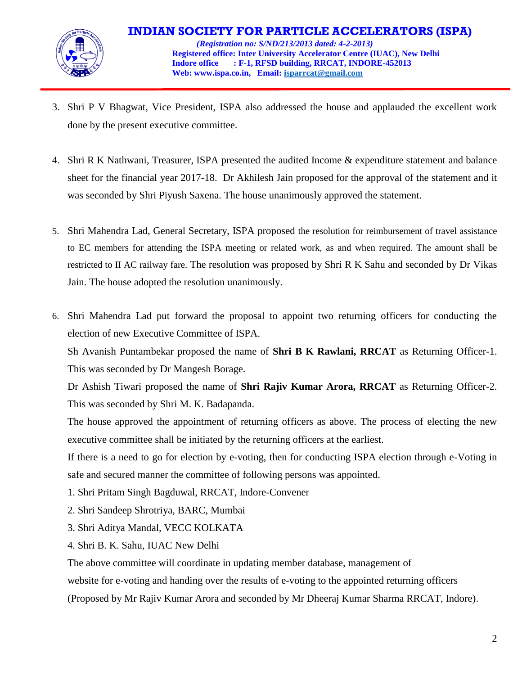

- 3. Shri P V Bhagwat, Vice President, ISPA also addressed the house and applauded the excellent work done by the present executive committee.
- 4. Shri R K Nathwani, Treasurer, ISPA presented the audited Income & expenditure statement and balance sheet for the financial year 2017-18. Dr Akhilesh Jain proposed for the approval of the statement and it was seconded by Shri Piyush Saxena. The house unanimously approved the statement.
- 5. Shri Mahendra Lad, General Secretary, ISPA proposed the resolution for reimbursement of travel assistance to EC members for attending the ISPA meeting or related work, as and when required. The amount shall be restricted to II AC railway fare. The resolution was proposed by Shri R K Sahu and seconded by Dr Vikas Jain. The house adopted the resolution unanimously.
- 6. Shri Mahendra Lad put forward the proposal to appoint two returning officers for conducting the election of new Executive Committee of ISPA.

Sh Avanish Puntambekar proposed the name of **Shri B K Rawlani, RRCAT** as Returning Officer-1. This was seconded by Dr Mangesh Borage.

Dr Ashish Tiwari proposed the name of **Shri Rajiv Kumar Arora, RRCAT** as Returning Officer-2. This was seconded by Shri M. K. Badapanda.

The house approved the appointment of returning officers as above. The process of electing the new executive committee shall be initiated by the returning officers at the earliest.

If there is a need to go for election by e-voting, then for conducting ISPA election through e-Voting in safe and secured manner the committee of following persons was appointed.

- 1. Shri Pritam Singh Bagduwal, RRCAT, Indore-Convener
- 2. Shri Sandeep Shrotriya, BARC, Mumbai
- 3. Shri Aditya Mandal, VECC KOLKATA
- 4. Shri B. K. Sahu, IUAC New Delhi

The above committee will coordinate in updating member database, management of

website for e-voting and handing over the results of e-voting to the appointed returning officers

(Proposed by Mr Rajiv Kumar Arora and seconded by Mr Dheeraj Kumar Sharma RRCAT, Indore).